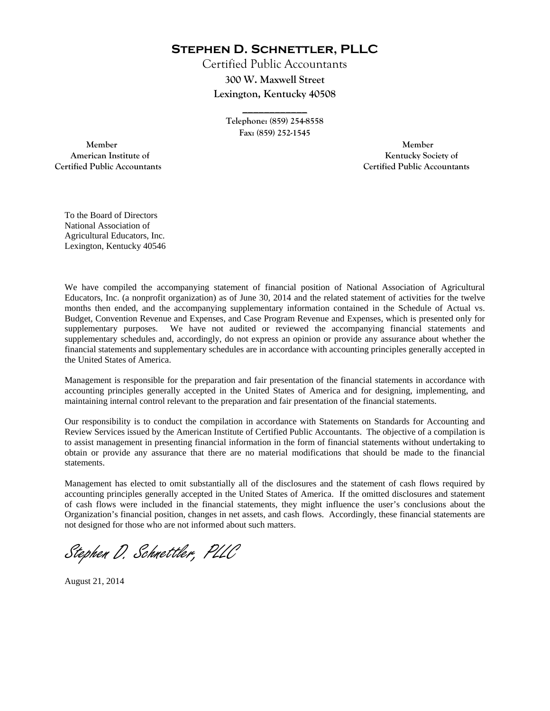**Stephen D. Schnettler, PLLC**

Certified Public Accountants **300 W. Maxwell Street Lexington, Kentucky 40508** 

> **Telephone: (859) 254-8558 Fax: (859) 252-1545**

**\_\_\_\_\_\_\_\_\_\_\_\_** 

 **Member Member Certified Public Accountants Certified Public Accountants** 

American Institute of **Kentucky Society of American Institute of** 

To the Board of Directors National Association of Agricultural Educators, Inc. Lexington, Kentucky 40546

We have compiled the accompanying statement of financial position of National Association of Agricultural Educators, Inc. (a nonprofit organization) as of June 30, 2014 and the related statement of activities for the twelve months then ended, and the accompanying supplementary information contained in the Schedule of Actual vs. Budget, Convention Revenue and Expenses, and Case Program Revenue and Expenses, which is presented only for supplementary purposes. We have not audited or reviewed the accompanying financial statements and supplementary schedules and, accordingly, do not express an opinion or provide any assurance about whether the financial statements and supplementary schedules are in accordance with accounting principles generally accepted in the United States of America.

Management is responsible for the preparation and fair presentation of the financial statements in accordance with accounting principles generally accepted in the United States of America and for designing, implementing, and maintaining internal control relevant to the preparation and fair presentation of the financial statements.

Our responsibility is to conduct the compilation in accordance with Statements on Standards for Accounting and Review Services issued by the American Institute of Certified Public Accountants. The objective of a compilation is to assist management in presenting financial information in the form of financial statements without undertaking to obtain or provide any assurance that there are no material modifications that should be made to the financial statements.

Management has elected to omit substantially all of the disclosures and the statement of cash flows required by accounting principles generally accepted in the United States of America. If the omitted disclosures and statement of cash flows were included in the financial statements, they might influence the user's conclusions about the Organization's financial position, changes in net assets, and cash flows. Accordingly, these financial statements are not designed for those who are not informed about such matters.

Stephen D. Schnettler, PLLC

August 21, 2014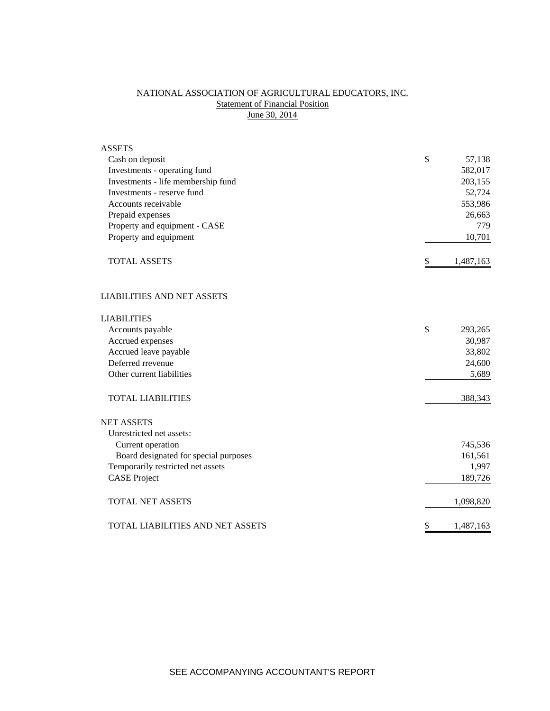# NATIONAL ASSOCIATION OF AGRICULTURAL EDUCATORS, INC. **Statement of Financial Position** June 30, 2014

| <b>ASSETS</b>                         |                 |
|---------------------------------------|-----------------|
| Cash on deposit                       | \$<br>57,138    |
| Investments - operating fund          | 582,017         |
| Investments - life membership fund    | 203,155         |
| Investments - reserve fund            | 52,724          |
| Accounts receivable                   | 553,986         |
| Prepaid expenses                      | 26,663          |
| Property and equipment - CASE         | 779             |
| Property and equipment                | 10,701          |
| <b>TOTAL ASSETS</b>                   | \$<br>1,487,163 |
| <b>LIABILITIES AND NET ASSETS</b>     |                 |
| <b>LIABILITIES</b>                    |                 |
| Accounts payable                      | \$<br>293,265   |
| Accrued expenses                      | 30,987          |
| Accrued leave payable                 | 33,802          |
| Deferred rrevenue                     | 24,600          |
| Other current liabilities             | 5,689           |
| <b>TOTAL LIABILITIES</b>              | 388,343         |
| <b>NET ASSETS</b>                     |                 |
| Unrestricted net assets:              |                 |
| Current operation                     | 745,536         |
| Board designated for special purposes | 161,561         |
| Temporarily restricted net assets     | 1,997           |
| <b>CASE Project</b>                   | 189,726         |
| <b>TOTAL NET ASSETS</b>               | 1,098,820       |
| TOTAL LIABILITIES AND NET ASSETS      | \$<br>1,487,163 |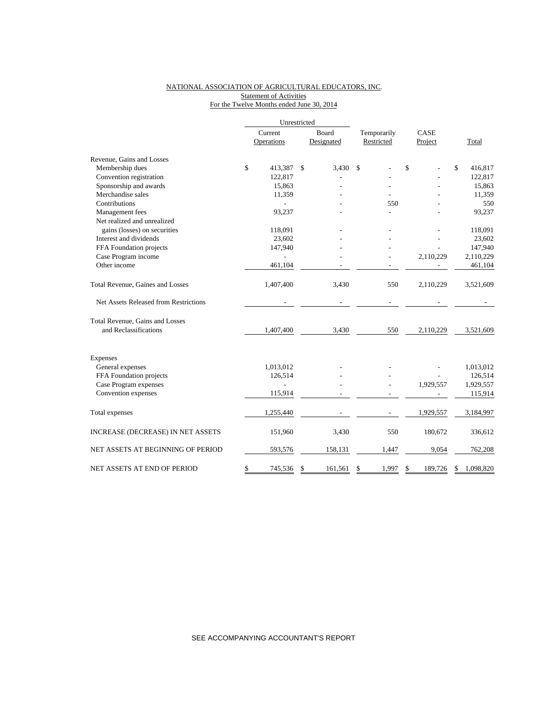### NATIONAL ASSOCIATION OF AGRICULTURAL EDUCATORS, INC. Statement of Activities For the Twelve Months ended June 30, 2014

|                                       | Unrestricted |                |       |            |             |    |           |              |           |  |
|---------------------------------------|--------------|----------------|-------|------------|-------------|----|-----------|--------------|-----------|--|
|                                       | Current      |                | Board |            | Temporarily |    | CASE      |              |           |  |
|                                       |              | Operations     |       | Designated | Restricted  |    | Project   |              | Total     |  |
| Revenue, Gains and Losses             |              |                |       |            |             |    |           |              |           |  |
| Membership dues                       | \$           | 413,387        | \$    | 3,430      | \$          | \$ |           | $\mathbb{S}$ | 416,817   |  |
| Convention registration               |              | 122,817        |       |            |             |    |           |              | 122,817   |  |
| Sponsorship and awards                |              | 15,863         |       |            |             |    |           |              | 15,863    |  |
| Merchandise sales                     |              | 11,359         |       |            |             |    |           |              | 11,359    |  |
| Contributions                         |              |                |       |            | 550         |    |           |              | 550       |  |
| Management fees                       |              | 93,237         |       |            |             |    |           |              | 93,237    |  |
| Net realized and unrealized           |              |                |       |            |             |    |           |              |           |  |
| gains (losses) on securities          |              | 118,091        |       |            |             |    |           |              | 118,091   |  |
| Interest and dividends                |              | 23,602         |       |            |             |    |           |              | 23,602    |  |
| FFA Foundation projects               |              | 147,940        |       |            |             |    |           |              | 147,940   |  |
| Case Program income                   |              |                |       |            |             |    | 2,110,229 |              | 2,110,229 |  |
| Other income                          |              | 461,104        |       |            |             |    |           |              | 461,104   |  |
| Total Revenue, Gaines and Losses      |              | 1,407,400      |       | 3,430      | 550         |    | 2,110,229 |              | 3,521,609 |  |
| Net Assets Released from Restrictions |              |                |       |            |             |    |           |              |           |  |
| Total Revenue, Gains and Losses       |              |                |       |            |             |    |           |              |           |  |
| and Reclassifications                 |              | 1,407,400      |       | 3,430      | 550         |    | 2,110,229 |              | 3,521,609 |  |
| Expenses                              |              |                |       |            |             |    |           |              |           |  |
| General expenses                      |              | 1,013,012      |       |            |             |    |           |              | 1,013,012 |  |
| FFA Foundation projects               |              | 126,514        |       |            |             |    |           |              | 126,514   |  |
| Case Program expenses                 |              | $\overline{a}$ |       |            |             |    | 1,929,557 |              | 1,929,557 |  |
| Convention expenses                   |              | 115,914        |       |            |             |    |           |              | 115,914   |  |
| Total expenses                        |              | 1,255,440      |       |            |             |    | 1,929,557 |              | 3,184,997 |  |
| INCREASE (DECREASE) IN NET ASSETS     |              | 151,960        |       | 3,430      | 550         |    | 180,672   |              | 336,612   |  |
| NET ASSETS AT BEGINNING OF PERIOD     |              | 593,576        |       | 158,131    | 1,447       |    | 9,054     |              | 762,208   |  |
| NET ASSETS AT END OF PERIOD           | \$           | 745,536        | \$    | 161,561    | \$<br>1,997 | \$ | 189.726   | \$           | 1,098,820 |  |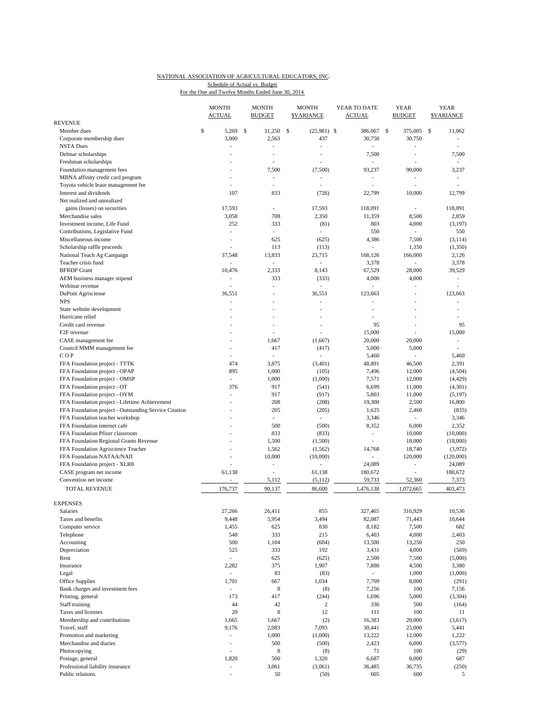#### NATIONAL ASSOCIATION OF AGRICULTURAL EDUCATORS, INC. For the One and Twelve Months Ended June 30, 2014 Schedule of Actual vs. Budget

| <b>REVENUE</b>                                        | <b>MONTH</b><br><b>ACTUAL</b> | <b>MONTH</b><br><b>BUDGET</b> | <b>MONTH</b><br><b>SVARIANCE</b> | YEAR TO DATE<br>ACTUAL   | <b>YEAR</b><br><b>BUDGET</b> | <b>YEAR</b><br><b>SVARIANCE</b> |
|-------------------------------------------------------|-------------------------------|-------------------------------|----------------------------------|--------------------------|------------------------------|---------------------------------|
| Member dues                                           | \$<br>5,269                   | \$<br>31,250                  | $(25,981)$ \$<br>\$              | 386,067                  | \$<br>375,005                | \$<br>11,062                    |
| Corporate membership dues                             | 3,000                         | 2,563                         | 437                              | 30,750                   | 30,750                       | $\overline{\phantom{a}}$        |
| <b>NSTA Dues</b>                                      | L,                            | ٠                             | ÷,                               | ÷.                       | ä,                           | ÷                               |
| Delmar scholarships                                   |                               |                               |                                  | 7,500                    | i,                           | 7,500                           |
| Freshman scholarships                                 |                               |                               |                                  |                          |                              |                                 |
| Foundation management fees                            |                               | 7,500                         | (7,500)                          | 93,237                   | 90,000                       | 3,237                           |
| MBNA affinity credit card program                     | $\overline{a}$                | ٠                             | $\overline{a}$                   | $\overline{\phantom{a}}$ | $\overline{a}$               | $\sim$                          |
| Toyota vehicle lease management fee                   |                               |                               | L                                |                          |                              |                                 |
| Interest and dividends                                | 107                           | 833                           | (726)                            | 22,799                   | 10,000                       | 12,799                          |
| Net realized and unrealized                           |                               |                               |                                  |                          |                              |                                 |
| gains (losses) on securities                          | 17,593                        |                               | 17,593                           | 118,091                  | ä,                           | 118,091                         |
| Merchandise sales                                     | 3,058                         | 708                           | 2,350                            | 11,359                   | 8,500                        | 2,859                           |
| Investment income, Life Fund                          | 252                           | 333                           | (81)                             | 803                      | 4,000                        | (3, 197)                        |
| Contributions, Legislative Fund                       | ÷,                            | $\overline{\phantom{a}}$      | $\overline{\phantom{a}}$         | 550                      | $\overline{\phantom{a}}$     | 550                             |
| Miscellaneous income                                  | $\overline{\phantom{a}}$      | 625                           | (625)                            | 4,386                    | 7,500                        | (3, 114)                        |
| Scholarship raffle proceeds                           |                               | 113                           | (113)                            | ÷.                       | 1,350                        | (1,350)                         |
| National Teach Ag Campaign                            | 37,548                        | 13,833                        | 23,715                           | 168,126                  | 166,000                      | 2,126                           |
| Teacher crisis fund                                   | ÷,                            | $\mathcal{L}^{\mathcal{A}}$   | à.                               | 3,378                    | $\overline{\phantom{a}}$     | 3,378                           |
| <b>BFRDP</b> Grant                                    | 10,476                        | 2,333                         | 8,143                            | 67,529                   | 28,000                       | 39,529                          |
| AEM business manager stipend                          | L,                            | 333                           | (333)                            | 4,000                    | 4,000                        | ÷.                              |
| Webinar revenue                                       | ÷,                            | ÷,                            | ä,                               | ÷,                       | i,                           | ÷,                              |
| DuPont Agrisciense                                    | 36,551                        |                               | 36,551                           | 123,663                  | J.                           | 123,663                         |
| <b>NPS</b>                                            | ä,                            | $\overline{\phantom{a}}$      | $\overline{a}$                   | Ĭ.<br>L,                 | $\overline{a}$               | ٠                               |
| State website development                             |                               |                               |                                  |                          |                              |                                 |
| Hurricane relief<br>Credit card revenue               |                               |                               |                                  | ÷,<br>95                 |                              | ÷,<br>95                        |
| F <sub>2F</sub> revenue                               | $\overline{a}$                |                               |                                  | 15,000                   | L,                           | 15,000                          |
| CASE management fee                                   |                               | 1,667                         | (1,667)                          | 20,000                   | 20,000                       | ÷                               |
| Council MMM management fee                            |                               | 417                           | (417)                            | 5,000                    | 5,000                        | ÷,                              |
| COP                                                   | ä,                            | ÷,                            |                                  | 5,460                    |                              | 5,460                           |
| FFA Foundation project - TTTK                         | 474                           | 3,875                         | (3,401)                          | 48,891                   | 46,500                       | 2,391                           |
| FFA Foundation project - OPAP                         | 895                           | 1,000                         | (105)                            | 7,496                    | 12,000                       | (4, 504)                        |
| FFA Foundation project - OMSP                         | $\overline{a}$                | 1,000                         | (1,000)                          | 7,571                    | 12,000                       | (4, 429)                        |
| FFA Foundation project - OT                           | 376                           | 917                           | (541)                            | 6,699                    | 11,000                       | (4,301)                         |
| FFA Foundation project - OYM                          | ÷,                            | 917                           | (917)                            | 5,803                    | 11,000                       | (5, 197)                        |
| FFA Foundation project - Lifetime Achievement         |                               | 208                           | (208)                            | 19,300                   | 2,500                        | 16,800                          |
| FFA Foundation project - Outstanding Service Citation |                               | 205                           | (205)                            | 1,625                    | 2,460                        | (835)                           |
| FFA Foundation teacher workshop                       |                               | $\sim$                        | $\sim$                           | 3,346                    | ٠                            | 3,346                           |
| FFA Foundation internet café                          |                               | 500                           | (500)                            | 8,352                    | 6,000                        | 2,352                           |
| FFA Foundation Pfizer classroom                       |                               | 833                           | (833)                            | ٠                        | 10,000                       | (10,000)                        |
| FFA Foundation Regional Grants Revenue                |                               | 1,500                         | (1,500)                          | $\frac{1}{2}$            | 18,000                       | (18,000)                        |
| FFA Foundation Agriscience Teacher                    |                               | 1,562                         | (1, 562)                         | 14,768                   | 18,740                       | (3,972)                         |
| FFA Foundation NATAA/NAII                             | ä,                            | 10,000                        | (10,000)                         | $\overline{\phantom{a}}$ | 120,000                      | (120,000)                       |
| FFA Foundation project - XLR8                         |                               | ÷,                            |                                  | 24,089                   | $\overline{a}$               | 24,089                          |
| CASE program net income                               | 61,138                        |                               | 61,138                           | 180,672                  | L,                           | 180,672                         |
| Convention net income                                 | $\overline{a}$                | 5,112                         | (5,112)                          | 59,733                   | 52,360                       | 7,373                           |
| <b>TOTAL REVENUE</b>                                  | 176,737                       | 90,137                        | 86,600                           | 1,476,138                | 1,072,665                    | 403,473                         |
|                                                       |                               |                               |                                  |                          |                              |                                 |
| <b>EXPENSES</b>                                       |                               |                               |                                  |                          |                              |                                 |
| Salaries                                              | 27,266                        | 26,411                        | 855                              | 327,465                  | 316,929                      | 10,536                          |
| Taxes and benefits                                    | 9,448                         | 5,954                         | 3,494                            | 82,087                   | 71,443                       | 10,644                          |
| Computer service                                      | 1,455                         | 625                           | 830                              | 8,182                    | 7,500                        | 682                             |
| Telephone                                             | 548                           | 333                           | 215                              | 6,403                    | 4,000                        | 2,403                           |
| Accounting                                            | 500                           | 1,104                         | (604)                            | 13,500                   | 13,250                       | 250                             |
| Depreciation                                          | 525                           | 333                           | 192                              | 3,431                    | 4,000                        | (569)                           |
| Rent                                                  | $\overline{\phantom{a}}$      | 625                           | (625)                            | 2,500                    | 7,500                        | (5,000)                         |
| Insurance                                             | 2,282                         | 375                           | 1,907                            | 7,880                    | 4,500                        | 3,380<br>(1,000)                |
| Legal                                                 | $\overline{\phantom{a}}$      | 83                            | (83)                             | $\sim$                   | 1,000                        |                                 |
| Office Supplies<br>Bank charges and investment fees   | 1,701<br>L,                   | 667<br>$\,$ 8 $\,$            | 1,034                            | 7,709                    | 8,000                        | (291)                           |
| Printing, general                                     | 173                           | 417                           | (8)<br>(244)                     | 7,256<br>1,696           | 100<br>5,000                 | 7,156<br>(3,304)                |
| Staff training                                        | 44                            | 42                            | $\overline{c}$                   | 336                      | 500                          |                                 |
| Taxes and licenses                                    | 20                            | $\,$ 8 $\,$                   | 12                               | 111                      | 100                          | (164)<br>11                     |
| Membership and contributions                          | 1,665                         | 1,667                         | (2)                              | 16,383                   | 20,000                       | (3,617)                         |
| Travel, staff                                         | 9,176                         | 2,083                         | 7,093                            | 30,441                   | 25,000                       | 5,441                           |
| Promotion and marketing                               | $\overline{\phantom{a}}$      | 1,000                         | (1,000)                          | 13,222                   | 12,000                       | 1,222                           |
| Merchandise and diaries                               | L,                            | 500                           | (500)                            | 2,423                    | 6,000                        | (3,577)                         |
| Photocopying                                          | L,                            | $\,$ 8 $\,$                   | (8)                              | 71                       | 100                          | (29)                            |
| Postage, general                                      | 1,820                         | 500                           | 1,320                            | 6,687                    | 6,000                        | 687                             |
| Professional liability insurance                      | $\overline{\phantom{a}}$      | 3,061                         | (3,061)                          | 36,485                   | 36,735                       | (250)                           |
| Public relations                                      | $\overline{\phantom{a}}$      | 50                            | (50)                             | 605                      | 600                          | 5                               |
|                                                       |                               |                               |                                  |                          |                              |                                 |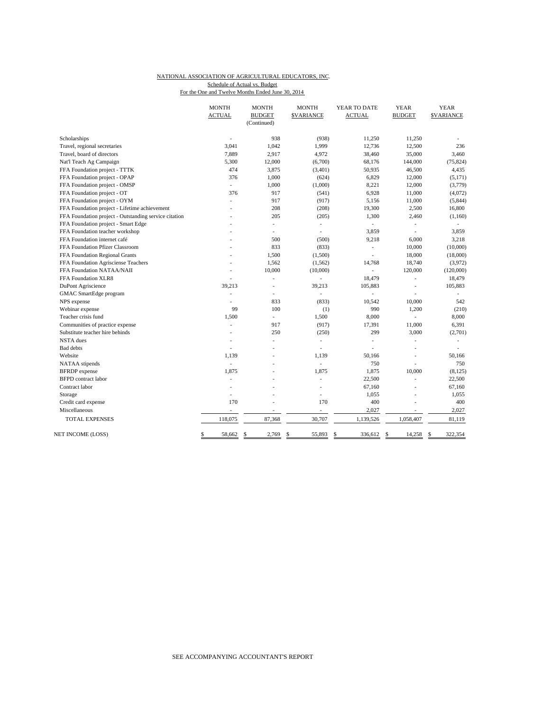#### NATIONAL ASSOCIATION OF AGRICULTURAL EDUCATORS, INC. For the One and Twelve Months Ended June 30, 2014 Schedule of Actual vs. Budget

|                                                       | <b>MONTH</b><br><b>ACTUAL</b> | <b>MONTH</b><br><b>BUDGET</b> | <b>MONTH</b><br><b>\$VARIANCE</b> | YEAR TO DATE<br><b>ACTUAL</b> | <b>YEAR</b><br><b>BUDGET</b> | <b>YEAR</b><br><b>SVARIANCE</b> |
|-------------------------------------------------------|-------------------------------|-------------------------------|-----------------------------------|-------------------------------|------------------------------|---------------------------------|
|                                                       |                               | (Continued)                   |                                   |                               |                              |                                 |
| Scholarships                                          |                               | 938                           | (938)                             | 11,250                        | 11,250                       |                                 |
| Travel, regional secretaries                          | 3,041                         | 1,042                         | 1,999                             | 12,736                        | 12,500                       | 236                             |
| Travel, board of directors                            | 7,889                         | 2,917                         | 4,972                             | 38,460                        | 35,000                       | 3,460                           |
| Nat'l Teach Ag Campaign                               | 5,300                         | 12,000                        | (6,700)                           | 68,176                        | 144,000                      | (75, 824)                       |
| FFA Foundation project - TTTK                         | 474                           | 3,875                         | (3,401)                           | 50,935                        | 46,500                       | 4,435                           |
| FFA Foundation project - OPAP                         | 376                           | 1,000                         | (624)                             | 6,829                         | 12,000                       | (5, 171)                        |
| FFA Foundation project - OMSP                         | ÷,                            | 1,000                         | (1,000)                           | 8,221                         | 12,000                       | (3,779)                         |
| FFA Foundation project - OT                           | 376                           | 917                           | (541)                             | 6,928                         | 11,000                       | (4,072)                         |
| FFA Foundation project - OYM                          | L.                            | 917                           | (917)                             | 5,156                         | 11,000                       | (5, 844)                        |
| FFA Foundation project - Lifetime achievement         | L.                            | 208                           | (208)                             | 19,300                        | 2,500                        | 16,800                          |
| FFA Foundation project - Outstanding service citation |                               | 205                           | (205)                             | 1,300                         | 2,460                        | (1,160)                         |
| FFA Foundation project - Smart Edge                   |                               | ÷,                            | $\overline{\phantom{a}}$          | $\overline{\phantom{a}}$      | L.                           |                                 |
| FFA Foundation teacher workshop                       |                               | L                             | ä,                                | 3,859                         | L,                           | 3,859                           |
| FFA Foundation internet café                          |                               | 500                           | (500)                             | 9,218                         | 6,000                        | 3,218                           |
| FFA Foundation Pfizer Classroom                       |                               | 833                           | (833)                             | ٠                             | 10,000                       | (10,000)                        |
| FFA Foundation Regional Grants                        | $\overline{a}$                | 1,500                         | (1,500)                           | ä,                            | 18,000                       | (18,000)                        |
| FFA Foundation Agrisciense Teachers                   |                               | 1,562                         | (1, 562)                          | 14,768                        | 18,740                       | (3,972)                         |
| FFA Foundation NATAA/NAII                             |                               | 10,000                        | (10,000)                          | ÷.                            | 120,000                      | (120,000)                       |
| FFA Foundation XLR8                                   |                               | ÷,                            |                                   | 18,479                        | ä,                           | 18,479                          |
| DuPont Agriscience                                    | 39,213                        | ä,                            | 39,213                            | 105,883                       | L,                           | 105,883                         |
| GMAC SmartEdge program                                | L.                            | ÷,                            | ä,                                | L,                            | L,                           | $\overline{\phantom{a}}$        |
| NPS expense                                           | L.                            | 833                           | (833)                             | 10,542                        | 10,000                       | 542                             |
| Webinar expense                                       | 99                            | 100                           | (1)                               | 990                           | 1,200                        | (210)                           |
| Teacher crisis fund                                   | 1,500                         | ÷.                            | 1,500                             | 8,000                         |                              | 8,000                           |
| Communities of practice expense                       | L.                            | 917                           | (917)                             | 17,391                        | 11,000                       | 6,391                           |
| Substitute teacher hire behinds                       |                               | 250                           | (250)                             | 299                           | 3,000                        | (2,701)                         |
| <b>NSTA</b> dues                                      | ä,                            | ä,                            | ٠                                 | J.                            | ä,                           |                                 |
| <b>Bad</b> debts                                      |                               | L                             | ä,                                |                               | J.                           |                                 |
| Website                                               | 1,139                         |                               | 1,139                             | 50,166                        | L,                           | 50,166                          |
| NATAA stipends                                        | L.                            |                               |                                   | 750                           |                              | 750                             |
| <b>BFRDP</b> expense                                  | 1,875                         |                               | 1.875                             | 1,875                         | 10,000                       | (8, 125)                        |
| <b>BFPD</b> contract labor                            | ä,                            |                               | ÷.                                | 22,500                        | L.                           | 22,500                          |
| Contract labor                                        |                               |                               |                                   | 67,160                        |                              | 67,160                          |
| Storage                                               | L.                            | ÷,                            | ÷.                                | 1,055                         | L.                           | 1,055                           |
| Credit card expense                                   | 170                           |                               | 170                               | 400                           | L,                           | 400                             |
| Miscellaneous                                         | ä,                            |                               |                                   | 2,027                         |                              | 2,027                           |
| <b>TOTAL EXPENSES</b>                                 | 118,075                       | 87,368                        | 30,707                            | 1,139,526                     | 1,058,407                    | 81,119                          |
| NET INCOME (LOSS)                                     | \$<br>58,662                  | \$<br>2,769                   | \$<br>55,893                      | 336,612<br>\$                 | 14,258<br>\$                 | 322,354<br>\$                   |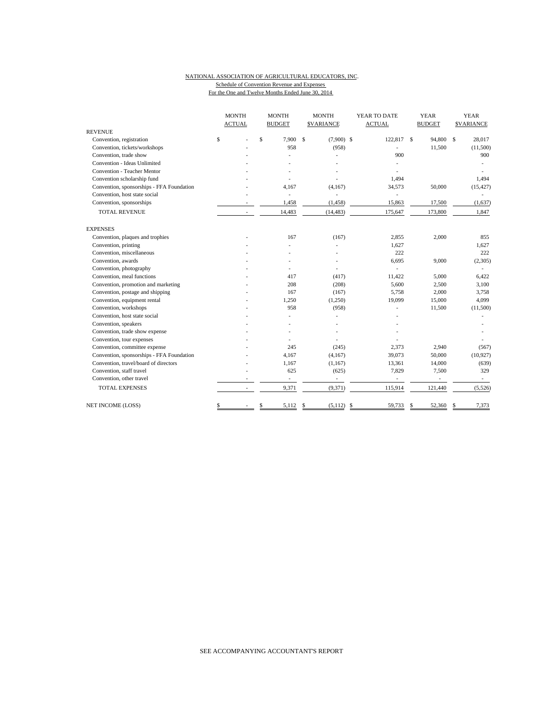# NATIONAL ASSOCIATION OF AGRICULTURAL EDUCATORS, INC. Schedule of Convention Revenue and Expenses

|                                           | <b>MONTH</b>  | <b>MONTH</b>             | <b>MONTH</b>                  | YEAR TO DATE  | <b>YEAR</b>              | <b>YEAR</b>      |
|-------------------------------------------|---------------|--------------------------|-------------------------------|---------------|--------------------------|------------------|
|                                           | <b>ACTUAL</b> | <b>BUDGET</b>            | <b>SVARIANCE</b>              | <b>ACTUAL</b> | <b>BUDGET</b>            | <b>SVARIANCE</b> |
| <b>REVENUE</b>                            |               |                          |                               |               |                          |                  |
| Convention, registration                  | \$            | \$<br>7.900              | <sup>\$</sup><br>$(7,900)$ \$ | 122,817 \$    | 94,800                   | \$<br>28,017     |
| Convention, tickets/workshops             |               | 958                      | (958)                         |               | 11,500                   | (11,500)         |
| Convention, trade show                    |               | J.                       |                               | 900           |                          | 900              |
| Convention - Ideas Unlimited              |               |                          |                               |               |                          |                  |
| Convention - Teacher Mentor               |               |                          |                               |               |                          |                  |
| Convention scholarship fund               |               |                          |                               | 1.494         |                          | 1,494            |
| Convention, sponsorships - FFA Foundation |               | 4,167                    | (4,167)                       | 34,573        | 50,000                   | (15, 427)        |
| Convention, host state social             |               | $\overline{\phantom{a}}$ | L,                            | ٠             |                          |                  |
| Convention, sponsorships                  |               | 1,458                    | (1, 458)                      | 15,863        | 17,500                   | (1,637)          |
| <b>TOTAL REVENUE</b>                      |               | 14,483                   | (14, 483)                     | 175,647       | 173,800                  | 1,847            |
| <b>EXPENSES</b>                           |               |                          |                               |               |                          |                  |
| Convention, plaques and trophies          |               | 167                      | (167)                         | 2,855         | 2,000                    | 855              |
| Convention, printing                      |               |                          |                               | 1,627         |                          | 1,627            |
| Convention, miscellaneous                 |               |                          |                               | 222           |                          | 222              |
| Convention, awards                        |               |                          |                               | 6,695         | 9,000                    | (2,305)          |
| Convention, photography                   |               |                          |                               |               |                          |                  |
| Convention, meal functions                |               | 417                      | (417)                         | 11,422        | 5,000                    | 6,422            |
| Convention, promotion and marketing       |               | 208                      | (208)                         | 5,600         | 2,500                    | 3,100            |
| Convention, postage and shipping          |               | 167                      | (167)                         | 5,758         | 2,000                    | 3,758            |
| Convention, equipment rental              |               | 1,250                    | (1,250)                       | 19,099        | 15,000                   | 4,099            |
| Convention, workshops                     |               | 958                      | (958)                         |               | 11,500                   | (11,500)         |
| Convention, host state social             |               |                          |                               |               |                          |                  |
| Convention, speakers                      |               |                          |                               |               |                          |                  |
| Convention, trade show expense            |               |                          |                               |               |                          |                  |
| Convention, tour expenses                 |               |                          |                               |               |                          |                  |
| Convention, committee expense             |               | 245                      | (245)                         | 2,373         | 2,940                    | (567)            |
| Convention, sponsorships - FFA Foundation |               | 4,167                    | (4,167)                       | 39,073        | 50,000                   | (10, 927)        |
| Convention, travel/board of directors     |               | 1,167                    | (1, 167)                      | 13,361        | 14,000                   | (639)            |
| Convention, staff travel                  |               | 625                      | (625)                         | 7,829         | 7,500                    | 329              |
| Convention, other travel                  |               | $\overline{\phantom{a}}$ | $\overline{\phantom{a}}$      | ÷,            | $\overline{\phantom{a}}$ | $\sim$           |
| <b>TOTAL EXPENSES</b>                     |               | 9,371                    | (9, 371)                      | 115,914       | 121,440                  | (5, 526)         |
| NET INCOME (LOSS)                         | \$            | \$<br>5,112              | \$<br>(5,112)                 | -\$<br>59,733 | 52,360<br>\$             | 7,373<br>\$      |

For the One and Twelve Months Ended June 30, 2014